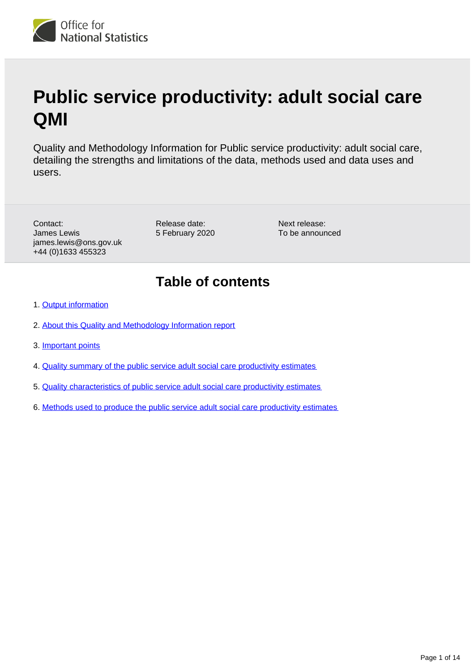

# **Public service productivity: adult social care QMI**

Quality and Methodology Information for Public service productivity: adult social care, detailing the strengths and limitations of the data, methods used and data uses and users.

Contact: James Lewis james.lewis@ons.gov.uk +44 (0)1633 455323

Release date: 5 February 2020

Next release: To be announced

### **Table of contents**

- 1. [Output information](#page-1-0)
- 2. [About this Quality and Methodology Information report](#page-1-1)
- 3. [Important points](#page-1-2)
- 4. [Quality summary of the public service adult social care productivity estimates](#page-2-0)
- 5. [Quality characteristics of public service adult social care productivity estimates](#page-5-0)
- 6. [Methods used to produce the public service adult social care productivity estimates](#page-10-0)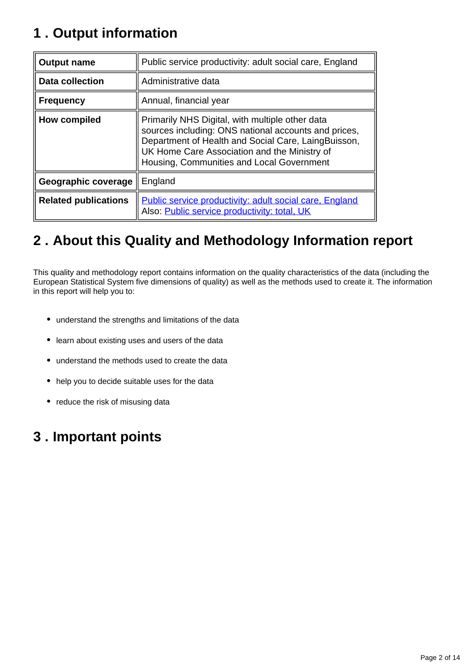# <span id="page-1-0"></span>**1 . Output information**

| <b>Output name</b>          | Public service productivity: adult social care, England                                                                                                                                                                                                     |
|-----------------------------|-------------------------------------------------------------------------------------------------------------------------------------------------------------------------------------------------------------------------------------------------------------|
| <b>Data collection</b>      | Administrative data                                                                                                                                                                                                                                         |
| <b>Frequency</b>            | Annual, financial year                                                                                                                                                                                                                                      |
| How compiled                | Primarily NHS Digital, with multiple other data<br>sources including: ONS national accounts and prices,<br>Department of Health and Social Care, LaingBuisson,<br>UK Home Care Association and the Ministry of<br>Housing, Communities and Local Government |
| Geographic coverage         | England                                                                                                                                                                                                                                                     |
| <b>Related publications</b> | Public service productivity: adult social care, England<br>Also: Public service productivity: total, UK                                                                                                                                                     |

# <span id="page-1-1"></span>**2 . About this Quality and Methodology Information report**

This quality and methodology report contains information on the quality characteristics of the data (including the European Statistical System five dimensions of quality) as well as the methods used to create it. The information in this report will help you to:

- understand the strengths and limitations of the data
- learn about existing uses and users of the data
- understand the methods used to create the data
- help you to decide suitable uses for the data
- reduce the risk of misusing data

# <span id="page-1-2"></span>**3 . Important points**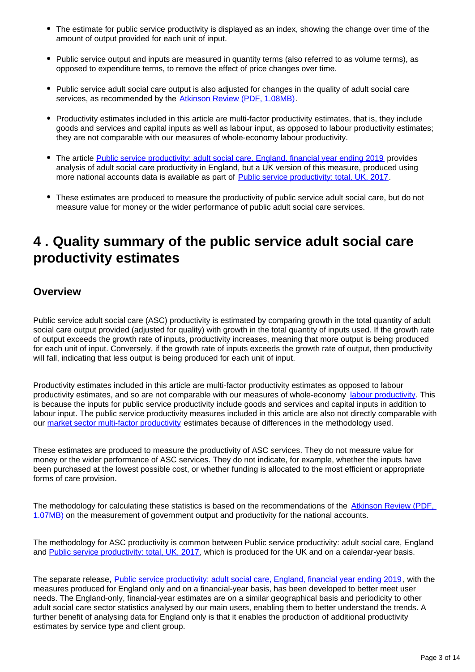- The estimate for public service productivity is displayed as an index, showing the change over time of the amount of output provided for each unit of input.
- Public service output and inputs are measured in quantity terms (also referred to as volume terms), as opposed to expenditure terms, to remove the effect of price changes over time.
- Public service adult social care output is also adjusted for changes in the quality of adult social care services, as recommended by the [Atkinson Review \(PDF, 1.08MB\)](http://www.ons.gov.uk/ons/guide-method/method-quality/specific/public-sector-methodology/articles/atkinson-review-final-report.pdf).
- Productivity estimates included in this article are multi-factor productivity estimates, that is, they include goods and services and capital inputs as well as labour input, as opposed to labour productivity estimates; they are not comparable with our measures of whole-economy labour productivity.
- The article [Public service productivity: adult social care, England, financial year ending 2019](https://www.ons.gov.uk/economy/economicoutputandproductivity/publicservicesproductivity/articles/publicserviceproductivityadultsocialcareengland/financialyearending2019) provides analysis of adult social care productivity in England, but a UK version of this measure, produced using more national accounts data is available as part of [Public service productivity: total, UK, 2017](https://www.ons.gov.uk/economy/economicoutputandproductivity/publicservicesproductivity/articles/publicservicesproductivityestimatestotalpublicservices/totaluk2017).
- These estimates are produced to measure the productivity of public service adult social care, but do not measure value for money or the wider performance of public adult social care services.

### <span id="page-2-0"></span>**4 . Quality summary of the public service adult social care productivity estimates**

#### **Overview**

Public service adult social care (ASC) productivity is estimated by comparing growth in the total quantity of adult social care output provided (adjusted for quality) with growth in the total quantity of inputs used. If the growth rate of output exceeds the growth rate of inputs, productivity increases, meaning that more output is being produced for each unit of input. Conversely, if the growth rate of inputs exceeds the growth rate of output, then productivity will fall, indicating that less output is being produced for each unit of input.

Productivity estimates included in this article are multi-factor productivity estimates as opposed to labour productivity estimates, and so are not comparable with our measures of whole-economy [labour productivity](https://www.ons.gov.uk/employmentandlabourmarket/peopleinwork/labourproductivity/bulletins/labourproductivity/julytoseptember2018). This is because the inputs for public service productivity include goods and services and capital inputs in addition to labour input. The public service productivity measures included in this article are also not directly comparable with our [market sector multi-factor productivity](https://www.ons.gov.uk/economy/economicoutputandproductivity/productivitymeasures/articles/multifactorproductivityestimates/experimentalestimatesto2014) estimates because of differences in the methodology used.

These estimates are produced to measure the productivity of ASC services. They do not measure value for money or the wider performance of ASC services. They do not indicate, for example, whether the inputs have been purchased at the lowest possible cost, or whether funding is allocated to the most efficient or appropriate forms of care provision.

The methodology for calculating these statistics is based on the recommendations of the Atkinson Review (PDF, [1.07MB\)](http://www.ons.gov.uk/ons/guide-method/method-quality/specific/public-sector-methodology/articles/atkinson-review-final-report.pdf) on the measurement of government output and productivity for the national accounts.

The methodology for ASC productivity is common between Public service productivity: adult social care, England and [Public service productivity: total, UK, 2017](https://www.ons.gov.uk/economy/economicoutputandproductivity/publicservicesproductivity/articles/publicservicesproductivityestimatestotalpublicservices/totaluk2017), which is produced for the UK and on a calendar-year basis.

The separate release, [Public service productivity: adult social care, England, financial year ending 2019](https://www.ons.gov.uk/economy/economicoutputandproductivity/publicservicesproductivity/articles/publicserviceproductivityadultsocialcareengland/financialyearending2019), with the measures produced for England only and on a financial-year basis, has been developed to better meet user needs. The England-only, financial-year estimates are on a similar geographical basis and periodicity to other adult social care sector statistics analysed by our main users, enabling them to better understand the trends. A further benefit of analysing data for England only is that it enables the production of additional productivity estimates by service type and client group.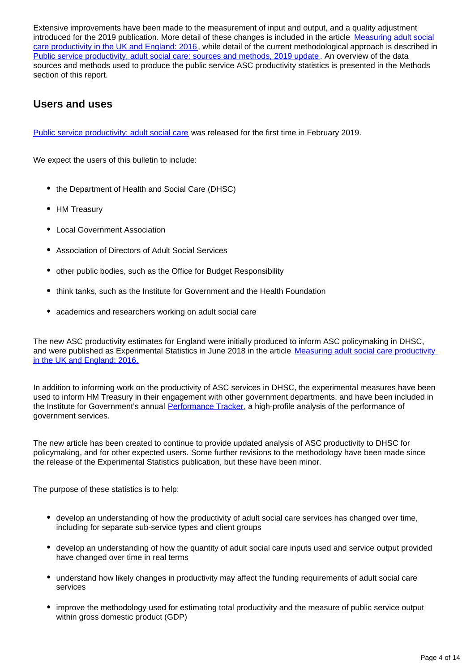Extensive improvements have been made to the measurement of input and output, and a quality adjustment introduced for the 2019 publication. More detail of these changes is included in the article [Measuring adult social](https://www.ons.gov.uk/economy/economicoutputandproductivity/publicservicesproductivity/articles/measuringadultsocialcareproductivity/2018-06-01)  [care productivity in the UK and England: 2016](https://www.ons.gov.uk/economy/economicoutputandproductivity/publicservicesproductivity/articles/measuringadultsocialcareproductivity/2018-06-01), while detail of the current methodological approach is described in [Public service productivity, adult social care: sources and methods, 2019 update](https://www.ons.gov.uk/economy/economicoutputandproductivity/publicservicesproductivity/methodologies/publicserviceproductivityadultsocialcaresourcesandmethods2019update). An overview of the data sources and methods used to produce the public service ASC productivity statistics is presented in the Methods section of this report.

#### **Users and uses**

[Public service productivity: adult social care](https://www.ons.gov.uk/economy/economicoutputandproductivity/publicservicesproductivity/articles/publicserviceproductivityadultsocialcareenglandfinancialyearending2018/2019-02-06) was released for the first time in February 2019.

We expect the users of this bulletin to include:

- the Department of Health and Social Care (DHSC)
- HM Treasury
- Local Government Association
- Association of Directors of Adult Social Services
- other public bodies, such as the Office for Budget Responsibility
- think tanks, such as the Institute for Government and the Health Foundation
- academics and researchers working on adult social care

The new ASC productivity estimates for England were initially produced to inform ASC policymaking in DHSC, and were published as Experimental Statistics in June 2018 in the article Measuring adult social care productivity [in the UK and England: 2016.](https://www.ons.gov.uk/economy/economicoutputandproductivity/publicservicesproductivity/articles/measuringadultsocialcareproductivity/2018-06-01)

In addition to informing work on the productivity of ASC services in DHSC, the experimental measures have been used to inform HM Treasury in their engagement with other government departments, and have been included in the Institute for Government's annual [Performance Tracker,](https://www.instituteforgovernment.org.uk/publications/performance-tracker-2019) a high-profile analysis of the performance of government services.

The new article has been created to continue to provide updated analysis of ASC productivity to DHSC for policymaking, and for other expected users. Some further revisions to the methodology have been made since the release of the Experimental Statistics publication, but these have been minor.

The purpose of these statistics is to help:

- develop an understanding of how the productivity of adult social care services has changed over time, including for separate sub-service types and client groups
- develop an understanding of how the quantity of adult social care inputs used and service output provided have changed over time in real terms
- understand how likely changes in productivity may affect the funding requirements of adult social care services
- improve the methodology used for estimating total productivity and the measure of public service output within gross domestic product (GDP)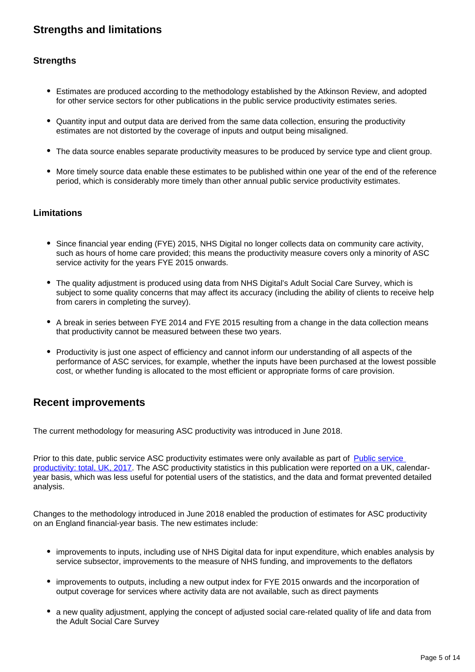### **Strengths and limitations**

#### **Strengths**

- Estimates are produced according to the methodology established by the Atkinson Review, and adopted for other service sectors for other publications in the public service productivity estimates series.
- Quantity input and output data are derived from the same data collection, ensuring the productivity estimates are not distorted by the coverage of inputs and output being misaligned.
- The data source enables separate productivity measures to be produced by service type and client group.
- More timely source data enable these estimates to be published within one year of the end of the reference period, which is considerably more timely than other annual public service productivity estimates.

#### **Limitations**

- Since financial year ending (FYE) 2015, NHS Digital no longer collects data on community care activity, such as hours of home care provided; this means the productivity measure covers only a minority of ASC service activity for the years FYE 2015 onwards.
- The quality adjustment is produced using data from NHS Digital's Adult Social Care Survey, which is subject to some quality concerns that may affect its accuracy (including the ability of clients to receive help from carers in completing the survey).
- A break in series between FYE 2014 and FYE 2015 resulting from a change in the data collection means that productivity cannot be measured between these two years.
- Productivity is just one aspect of efficiency and cannot inform our understanding of all aspects of the performance of ASC services, for example, whether the inputs have been purchased at the lowest possible cost, or whether funding is allocated to the most efficient or appropriate forms of care provision.

#### **Recent improvements**

The current methodology for measuring ASC productivity was introduced in June 2018.

Prior to this date, public service ASC productivity estimates were only available as part of Public service [productivity: total, UK, 2017](https://www.ons.gov.uk/economy/economicoutputandproductivity/publicservicesproductivity/articles/publicservicesproductivityestimatestotalpublicservices/totaluk2017). The ASC productivity statistics in this publication were reported on a UK, calendaryear basis, which was less useful for potential users of the statistics, and the data and format prevented detailed analysis.

Changes to the methodology introduced in June 2018 enabled the production of estimates for ASC productivity on an England financial-year basis. The new estimates include:

- improvements to inputs, including use of NHS Digital data for input expenditure, which enables analysis by service subsector, improvements to the measure of NHS funding, and improvements to the deflators
- improvements to outputs, including a new output index for FYE 2015 onwards and the incorporation of output coverage for services where activity data are not available, such as direct payments
- a new quality adjustment, applying the concept of adjusted social care-related quality of life and data from the Adult Social Care Survey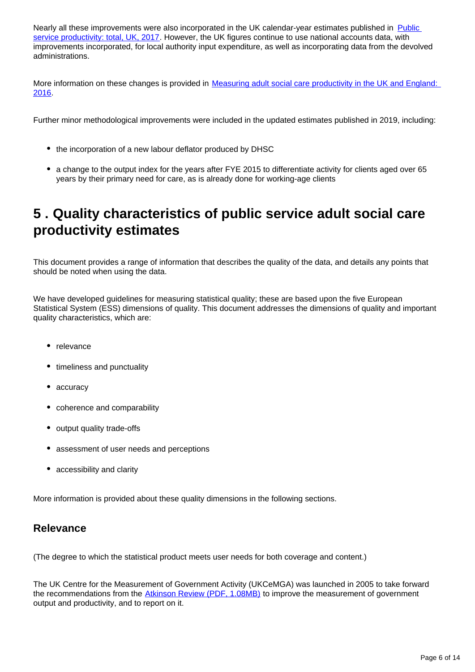Nearly all these improvements were also incorporated in the UK calendar-year estimates published in Public [service productivity: total, UK, 2017](https://www.ons.gov.uk/economy/economicoutputandproductivity/publicservicesproductivity/articles/publicservicesproductivityestimatestotalpublicservices/totaluk2017). However, the UK figures continue to use national accounts data, with improvements incorporated, for local authority input expenditure, as well as incorporating data from the devolved administrations.

More information on these changes is provided in [Measuring adult social care productivity in the UK and England:](https://www.ons.gov.uk/economy/economicoutputandproductivity/publicservicesproductivity/articles/measuringadultsocialcareproductivity/2018-06-01)  [2016](https://www.ons.gov.uk/economy/economicoutputandproductivity/publicservicesproductivity/articles/measuringadultsocialcareproductivity/2018-06-01).

Further minor methodological improvements were included in the updated estimates published in 2019, including:

- the incorporation of a new labour deflator produced by DHSC
- a change to the output index for the years after FYE 2015 to differentiate activity for clients aged over 65 years by their primary need for care, as is already done for working-age clients

## <span id="page-5-0"></span>**5 . Quality characteristics of public service adult social care productivity estimates**

This document provides a range of information that describes the quality of the data, and details any points that should be noted when using the data.

We have developed guidelines for measuring statistical quality; these are based upon the five European Statistical System (ESS) dimensions of quality. This document addresses the dimensions of quality and important quality characteristics, which are:

- relevance
- timeliness and punctuality
- accuracy
- coherence and comparability
- output quality trade-offs
- assessment of user needs and perceptions
- accessibility and clarity

More information is provided about these quality dimensions in the following sections.

#### **Relevance**

(The degree to which the statistical product meets user needs for both coverage and content.)

The UK Centre for the Measurement of Government Activity (UKCeMGA) was launched in 2005 to take forward the recommendations from the [Atkinson Review \(PDF, 1.08MB\)](http://www.ons.gov.uk/ons/guide-method/method-quality/specific/public-sector-methodology/articles/atkinson-review-final-report.pdf) to improve the measurement of government output and productivity, and to report on it.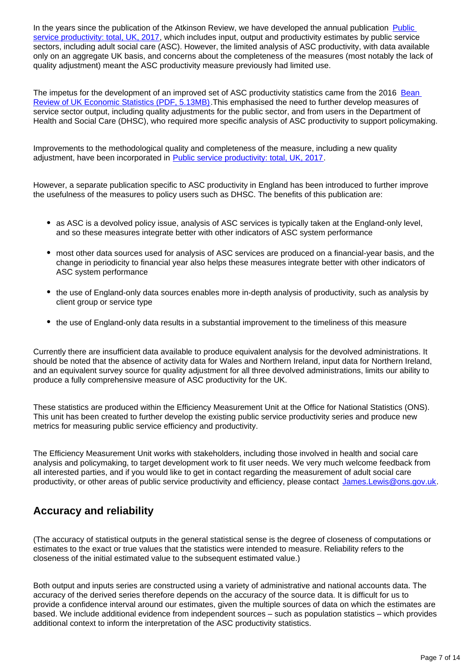In the years since the publication of the Atkinson Review, we have developed the annual publication Public [service productivity: total, UK, 2017](https://www.ons.gov.uk/economy/economicoutputandproductivity/publicservicesproductivity/articles/publicservicesproductivityestimatestotalpublicservices/totaluk2017), which includes input, output and productivity estimates by public service sectors, including adult social care (ASC). However, the limited analysis of ASC productivity, with data available only on an aggregate UK basis, and concerns about the completeness of the measures (most notably the lack of quality adjustment) meant the ASC productivity measure previously had limited use.

The impetus for the development of an improved set of ASC productivity statistics came from the 2016 [Bean](https://assets.publishing.service.gov.uk/government/uploads/system/uploads/attachment_data/file/507081/2904936_Bean_Review_Web_Accessible.pdf)  [Review of UK Economic Statistics \(PDF, 5.13MB\)](https://assets.publishing.service.gov.uk/government/uploads/system/uploads/attachment_data/file/507081/2904936_Bean_Review_Web_Accessible.pdf). This emphasised the need to further develop measures of service sector output, including quality adjustments for the public sector, and from users in the Department of Health and Social Care (DHSC), who required more specific analysis of ASC productivity to support policymaking.

Improvements to the methodological quality and completeness of the measure, including a new quality adjustment, have been incorporated in [Public service productivity: total, UK, 2017.](https://www.ons.gov.uk/economy/economicoutputandproductivity/publicservicesproductivity/articles/publicservicesproductivityestimatestotalpublicservices/totaluk2017)

However, a separate publication specific to ASC productivity in England has been introduced to further improve the usefulness of the measures to policy users such as DHSC. The benefits of this publication are:

- as ASC is a devolved policy issue, analysis of ASC services is typically taken at the England-only level, and so these measures integrate better with other indicators of ASC system performance
- most other data sources used for analysis of ASC services are produced on a financial-year basis, and the change in periodicity to financial year also helps these measures integrate better with other indicators of ASC system performance
- the use of England-only data sources enables more in-depth analysis of productivity, such as analysis by client group or service type
- the use of England-only data results in a substantial improvement to the timeliness of this measure

Currently there are insufficient data available to produce equivalent analysis for the devolved administrations. It should be noted that the absence of activity data for Wales and Northern Ireland, input data for Northern Ireland, and an equivalent survey source for quality adjustment for all three devolved administrations, limits our ability to produce a fully comprehensive measure of ASC productivity for the UK.

These statistics are produced within the Efficiency Measurement Unit at the Office for National Statistics (ONS). This unit has been created to further develop the existing public service productivity series and produce new metrics for measuring public service efficiency and productivity.

The Efficiency Measurement Unit works with stakeholders, including those involved in health and social care analysis and policymaking, to target development work to fit user needs. We very much welcome feedback from all interested parties, and if you would like to get in contact regarding the measurement of adult social care productivity, or other areas of public service productivity and efficiency, please contact James.Lewis@ons.gov.uk.

#### **Accuracy and reliability**

(The accuracy of statistical outputs in the general statistical sense is the degree of closeness of computations or estimates to the exact or true values that the statistics were intended to measure. Reliability refers to the closeness of the initial estimated value to the subsequent estimated value.)

Both output and inputs series are constructed using a variety of administrative and national accounts data. The accuracy of the derived series therefore depends on the accuracy of the source data. It is difficult for us to provide a confidence interval around our estimates, given the multiple sources of data on which the estimates are based. We include additional evidence from independent sources – such as population statistics – which provides additional context to inform the interpretation of the ASC productivity statistics.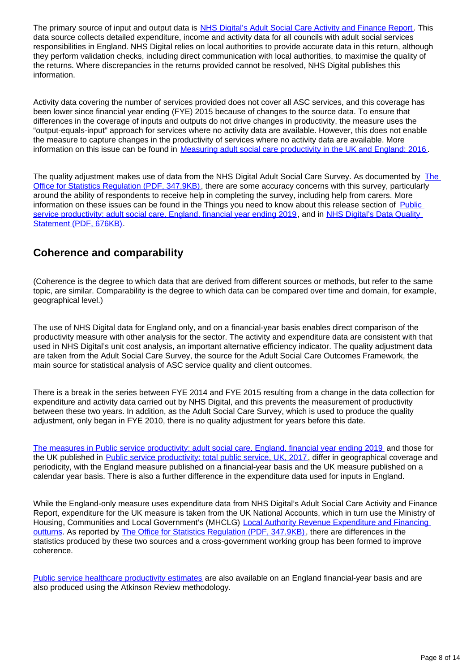The primary source of input and output data is [NHS Digital's Adult Social Care Activity and Finance Report](https://digital.nhs.uk/data-and-information/publications/statistical/adult-social-care-activity-and-finance-report). This data source collects detailed expenditure, income and activity data for all councils with adult social services responsibilities in England. NHS Digital relies on local authorities to provide accurate data in this return, although they perform validation checks, including direct communication with local authorities, to maximise the quality of the returns. Where discrepancies in the returns provided cannot be resolved, NHS Digital publishes this information.

Activity data covering the number of services provided does not cover all ASC services, and this coverage has been lower since financial year ending (FYE) 2015 because of changes to the source data. To ensure that differences in the coverage of inputs and outputs do not drive changes in productivity, the measure uses the "output-equals-input" approach for services where no activity data are available. However, this does not enable the measure to capture changes in the productivity of services where no activity data are available. More information on this issue can be found in [Measuring adult social care productivity in the UK and England: 2016](https://www.ons.gov.uk/economy/economicoutputandproductivity/publicservicesproductivity/articles/measuringadultsocialcareproductivity/2018-06-01) .

The quality adjustment makes use of data from the NHS Digital Adult Social Care Survey. As documented by [The](https://www.statisticsauthority.gov.uk/wp-content/uploads/2020/01/19_11_15_SocialCare_SRv3.pdf)  [Office for Statistics Regulation \(PDF, 347.9KB\),](https://www.statisticsauthority.gov.uk/wp-content/uploads/2020/01/19_11_15_SocialCare_SRv3.pdf) there are some accuracy concerns with this survey, particularly around the ability of respondents to receive help in completing the survey, including help from carers. More information on these issues can be found in the Things you need to know about this release section of Public [service productivity: adult social care, England, financial year ending 2019,](https://www.ons.gov.uk/economy/economicoutputandproductivity/publicservicesproductivity/articles/publicserviceproductivityadultsocialcareengland/financialyearending2019) and in NHS Digital's Data Quality [Statement \(PDF, 676KB\).](https://files.digital.nhs.uk/0E/5F058D/pss-ascs-eng-1819_Data_Quality_report.pdf)

#### **Coherence and comparability**

(Coherence is the degree to which data that are derived from different sources or methods, but refer to the same topic, are similar. Comparability is the degree to which data can be compared over time and domain, for example, geographical level.)

The use of NHS Digital data for England only, and on a financial-year basis enables direct comparison of the productivity measure with other analysis for the sector. The activity and expenditure data are consistent with that used in NHS Digital's unit cost analysis, an important alternative efficiency indicator. The quality adjustment data are taken from the Adult Social Care Survey, the source for the Adult Social Care Outcomes Framework, the main source for statistical analysis of ASC service quality and client outcomes.

There is a break in the series between FYE 2014 and FYE 2015 resulting from a change in the data collection for expenditure and activity data carried out by NHS Digital, and this prevents the measurement of productivity between these two years. In addition, as the Adult Social Care Survey, which is used to produce the quality adjustment, only began in FYE 2010, there is no quality adjustment for years before this date.

[The measures in Public service productivity: adult social care, England, financial year ending 2019](https://www.ons.gov.uk/economy/economicoutputandproductivity/publicservicesproductivity/articles/publicserviceproductivityadultsocialcareengland/financialyearending2019) and those for the UK published in [Public service productivity: total public service, UK, 2017,](https://www.ons.gov.uk/economy/economicoutputandproductivity/publicservicesproductivity/articles/publicservicesproductivityestimatestotalpublicservices/totaluk2017) differ in geographical coverage and periodicity, with the England measure published on a financial-year basis and the UK measure published on a calendar year basis. There is also a further difference in the expenditure data used for inputs in England.

While the England-only measure uses expenditure data from NHS Digital's Adult Social Care Activity and Finance Report, expenditure for the UK measure is taken from the UK National Accounts, which in turn use the Ministry of Housing, Communities and Local Government's (MHCLG) [Local Authority Revenue Expenditure and Financing](https://www.gov.uk/government/collections/local-authority-revenue-expenditure-and-financing)  [outturns](https://www.gov.uk/government/collections/local-authority-revenue-expenditure-and-financing). As reported by [The Office for Statistics Regulation \(PDF, 347.9KB\)](https://www.statisticsauthority.gov.uk/wp-content/uploads/2020/01/19_11_15_SocialCare_SRv3.pdf), there are differences in the statistics produced by these two sources and a cross-government working group has been formed to improve coherence.

[Public service healthcare productivity estimates](https://www.ons.gov.uk/economy/economicoutputandproductivity/publicservicesproductivity/articles/publicservicesproductivityestimateshealthcare/financialyearending2018) are also available on an England financial-year basis and are also produced using the Atkinson Review methodology.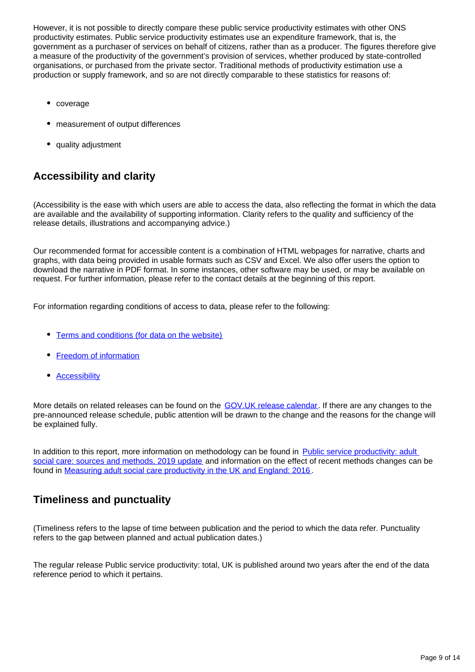However, it is not possible to directly compare these public service productivity estimates with other ONS productivity estimates. Public service productivity estimates use an expenditure framework, that is, the government as a purchaser of services on behalf of citizens, rather than as a producer. The figures therefore give a measure of the productivity of the government's provision of services, whether produced by state-controlled organisations, or purchased from the private sector. Traditional methods of productivity estimation use a production or supply framework, and so are not directly comparable to these statistics for reasons of:

- coverage
- measurement of output differences
- quality adjustment

### **Accessibility and clarity**

(Accessibility is the ease with which users are able to access the data, also reflecting the format in which the data are available and the availability of supporting information. Clarity refers to the quality and sufficiency of the release details, illustrations and accompanying advice.)

Our recommended format for accessible content is a combination of HTML webpages for narrative, charts and graphs, with data being provided in usable formats such as CSV and Excel. We also offer users the option to download the narrative in PDF format. In some instances, other software may be used, or may be available on request. For further information, please refer to the contact details at the beginning of this report.

For information regarding conditions of access to data, please refer to the following:

- [Terms and conditions \(for data on the website\)](https://www.ons.gov.uk/help/termsandconditions)
- [Freedom of information](https://www.ons.gov.uk/aboutus/transparencyandgovernance/freedomofinformationfoi)
- [Accessibility](https://www.ons.gov.uk/help/accessibility)

More details on related releases can be found on the [GOV.UK release calendar.](https://www.gov.uk/government/statistics/announcements) If there are any changes to the pre-announced release schedule, public attention will be drawn to the change and the reasons for the change will be explained fully.

In addition to this report, more information on methodology can be found in Public service productivity: adult [social care: sources and methods, 2019 update](https://www.ons.gov.uk/economy/economicoutputandproductivity/publicservicesproductivity/methodologies/publicserviceproductivityadultsocialcaresourcesandmethods2019update) and information on the effect of recent methods changes can be found in [Measuring adult social care productivity in the UK and England: 2016](https://www.ons.gov.uk/economy/economicoutputandproductivity/publicservicesproductivity/articles/measuringadultsocialcareproductivity/2018-06-01) .

#### **Timeliness and punctuality**

(Timeliness refers to the lapse of time between publication and the period to which the data refer. Punctuality refers to the gap between planned and actual publication dates.)

The regular release Public service productivity: total, UK is published around two years after the end of the data reference period to which it pertains.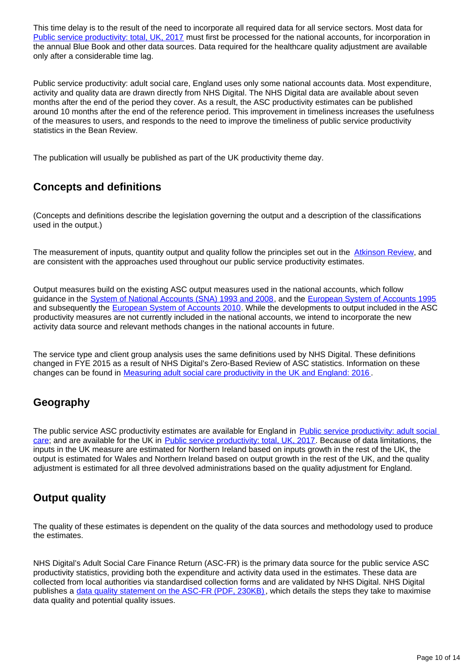This time delay is to the result of the need to incorporate all required data for all service sectors. Most data for [Public service productivity: total, UK, 2017](https://www.ons.gov.uk/economy/economicoutputandproductivity/publicservicesproductivity/articles/publicservicesproductivityestimatestotalpublicservices/totaluk2017) must first be processed for the national accounts, for incorporation in the annual Blue Book and other data sources. Data required for the healthcare quality adjustment are available only after a considerable time lag.

Public service productivity: adult social care, England uses only some national accounts data. Most expenditure, activity and quality data are drawn directly from NHS Digital. The NHS Digital data are available about seven months after the end of the period they cover. As a result, the ASC productivity estimates can be published around 10 months after the end of the reference period. This improvement in timeliness increases the usefulness of the measures to users, and responds to the need to improve the timeliness of public service productivity statistics in the Bean Review.

The publication will usually be published as part of the UK productivity theme day.

### **Concepts and definitions**

(Concepts and definitions describe the legislation governing the output and a description of the classifications used in the output.)

The measurement of inputs, quantity output and quality follow the principles set out in the [Atkinson Review,](http://www.ons.gov.uk/ons/guide-method/method-quality/specific/public-sector-methodology/articles/atkinson-review-final-report.pdf) and are consistent with the approaches used throughout our public service productivity estimates.

Output measures build on the existing ASC output measures used in the national accounts, which follow guidance in the [System of National Accounts \(SNA\) 1993 and 2008](http://unstats.un.org/unsd/nationalaccount/sna.asp), and the [European System of Accounts 1995](https://unstats.un.org/unsd/EconStatKB/KnowledgebaseArticle10236.aspx) and subsequently the **[European System of Accounts 2010](http://ec.europa.eu/eurostat/web/esa-2010)**. While the developments to output included in the ASC productivity measures are not currently included in the national accounts, we intend to incorporate the new activity data source and relevant methods changes in the national accounts in future.

The service type and client group analysis uses the same definitions used by NHS Digital. These definitions changed in FYE 2015 as a result of NHS Digital's Zero-Based Review of ASC statistics. Information on these changes can be found in [Measuring adult social care productivity in the UK and England: 2016](https://www.ons.gov.uk/economy/economicoutputandproductivity/publicservicesproductivity/articles/measuringadultsocialcareproductivity/2018-06-01).

### **Geography**

The public service ASC productivity estimates are available for England in Public service productivity: adult social [care](http://www.ons.gov.uk/ons/guide-method/method-quality/specific/public-sector-methodology/articles/atkinson-review-final-report.pdf); and are available for the UK in [Public service productivity: total, UK, 2017.](https://www.ons.gov.uk/economy/economicoutputandproductivity/publicservicesproductivity/articles/publicservicesproductivityestimatestotalpublicservices/totaluk2017) Because of data limitations, the inputs in the UK measure are estimated for Northern Ireland based on inputs growth in the rest of the UK, the output is estimated for Wales and Northern Ireland based on output growth in the rest of the UK, and the quality adjustment is estimated for all three devolved administrations based on the quality adjustment for England.

#### **Output quality**

The quality of these estimates is dependent on the quality of the data sources and methodology used to produce the estimates.

NHS Digital's Adult Social Care Finance Return (ASC-FR) is the primary data source for the public service ASC productivity statistics, providing both the expenditure and activity data used in the estimates. These data are collected from local authorities via standardised collection forms and are validated by NHS Digital. NHS Digital publishes a [data quality statement on the ASC-FR \(PDF, 230KB\),](https://www.ons.gov.uk/economy/economicoutputandproductivity/publicservicesproductivity/articles/publicservicesproductivityestimatestotalpublicservices/totaluk2017) which details the steps they take to maximise data quality and potential quality issues.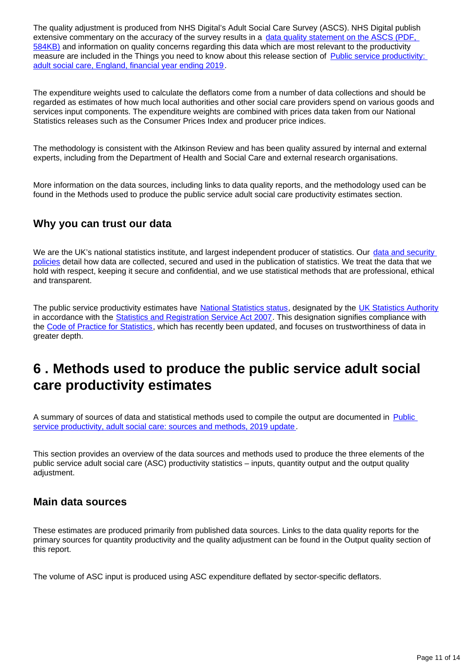The quality adjustment is produced from NHS Digital's Adult Social Care Survey (ASCS). NHS Digital publish extensive commentary on the accuracy of the survey results in a data quality statement on the ASCS (PDF, [584KB\)](https://files.digital.nhs.uk/E5/0D875E/pss-asc-eng-1718-data-quality-statement.pdf) and information on quality concerns regarding this data which are most relevant to the productivity measure are included in the Things you need to know about this release section of [Public service productivity:](https://www.ons.gov.uk/economy/economicoutputandproductivity/publicservicesproductivity/articles/publicserviceproductivityadultsocialcareengland/financialyearending2019)  [adult social care, England, financial year ending 2019.](https://www.ons.gov.uk/economy/economicoutputandproductivity/publicservicesproductivity/articles/publicserviceproductivityadultsocialcareengland/financialyearending2019)

The expenditure weights used to calculate the deflators come from a number of data collections and should be regarded as estimates of how much local authorities and other social care providers spend on various goods and services input components. The expenditure weights are combined with prices data taken from our National Statistics releases such as the Consumer Prices Index and producer price indices.

The methodology is consistent with the Atkinson Review and has been quality assured by internal and external experts, including from the Department of Health and Social Care and external research organisations.

More information on the data sources, including links to data quality reports, and the methodology used can be found in the Methods used to produce the public service adult social care productivity estimates section.

#### **Why you can trust our data**

We are the UK's national statistics institute, and largest independent producer of statistics. Our data and security [policies](https://www.ons.gov.uk/aboutus/transparencyandgovernance/lookingafterandusingdataforpublicbenefit/policies) detail how data are collected, secured and used in the publication of statistics. We treat the data that we hold with respect, keeping it secure and confidential, and we use statistical methods that are professional, ethical and transparent.

The public service productivity estimates have [National Statistics status](https://www.statisticsauthority.gov.uk/about-the-authority/uk-statistical-system/types-of-official-statistics/), designated by the [UK Statistics Authority](https://www.statisticsauthority.gov.uk/) in accordance with the **Statistics and Registration Service Act 2007**. This designation signifies compliance with the [Code of Practice for Statistics,](https://www.statisticsauthority.gov.uk/code-of-practice/) which has recently been updated, and focuses on trustworthiness of data in greater depth.

### <span id="page-10-0"></span>**6 . Methods used to produce the public service adult social care productivity estimates**

A summary of sources of data and statistical methods used to compile the output are documented in [Public](http://)  [service productivity, adult social care: sources and methods, 2019 update.](http://)

This section provides an overview of the data sources and methods used to produce the three elements of the public service adult social care (ASC) productivity statistics – inputs, quantity output and the output quality adjustment.

#### **Main data sources**

These estimates are produced primarily from published data sources. Links to the data quality reports for the primary sources for quantity productivity and the quality adjustment can be found in the Output quality section of this report.

The volume of ASC input is produced using ASC expenditure deflated by sector-specific deflators.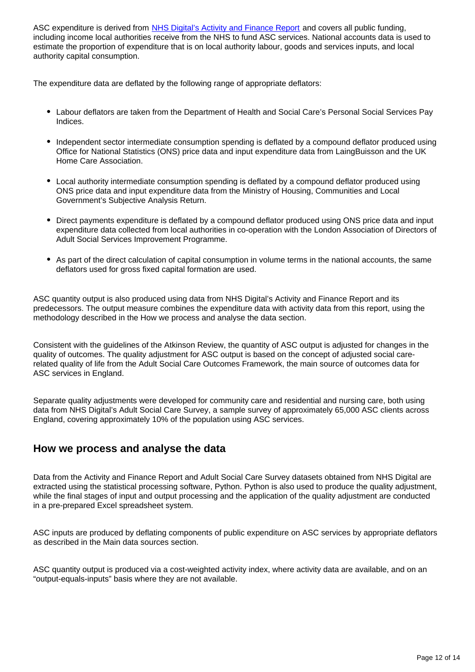ASC expenditure is derived from [NHS Digital's Activity and Finance Report](https://digital.nhs.uk/data-and-information/publications/statistical/adult-social-care-activity-and-finance-report) and covers all public funding, including income local authorities receive from the NHS to fund ASC services. National accounts data is used to estimate the proportion of expenditure that is on local authority labour, goods and services inputs, and local authority capital consumption.

The expenditure data are deflated by the following range of appropriate deflators:

- Labour deflators are taken from the Department of Health and Social Care's Personal Social Services Pay Indices.
- Independent sector intermediate consumption spending is deflated by a compound deflator produced using Office for National Statistics (ONS) price data and input expenditure data from LaingBuisson and the UK Home Care Association.
- Local authority intermediate consumption spending is deflated by a compound deflator produced using ONS price data and input expenditure data from the Ministry of Housing, Communities and Local Government's Subjective Analysis Return.
- Direct payments expenditure is deflated by a compound deflator produced using ONS price data and input expenditure data collected from local authorities in co-operation with the London Association of Directors of Adult Social Services Improvement Programme.
- As part of the direct calculation of capital consumption in volume terms in the national accounts, the same deflators used for gross fixed capital formation are used.

ASC quantity output is also produced using data from NHS Digital's Activity and Finance Report and its predecessors. The output measure combines the expenditure data with activity data from this report, using the methodology described in the How we process and analyse the data section.

Consistent with the guidelines of the Atkinson Review, the quantity of ASC output is adjusted for changes in the quality of outcomes. The quality adjustment for ASC output is based on the concept of adjusted social carerelated quality of life from the Adult Social Care Outcomes Framework, the main source of outcomes data for ASC services in England.

Separate quality adjustments were developed for community care and residential and nursing care, both using data from NHS Digital's Adult Social Care Survey, a sample survey of approximately 65,000 ASC clients across England, covering approximately 10% of the population using ASC services.

#### **How we process and analyse the data**

Data from the Activity and Finance Report and Adult Social Care Survey datasets obtained from NHS Digital are extracted using the statistical processing software, Python. Python is also used to produce the quality adjustment, while the final stages of input and output processing and the application of the quality adjustment are conducted in a pre-prepared Excel spreadsheet system.

ASC inputs are produced by deflating components of public expenditure on ASC services by appropriate deflators as described in the Main data sources section.

ASC quantity output is produced via a cost-weighted activity index, where activity data are available, and on an "output-equals-inputs" basis where they are not available.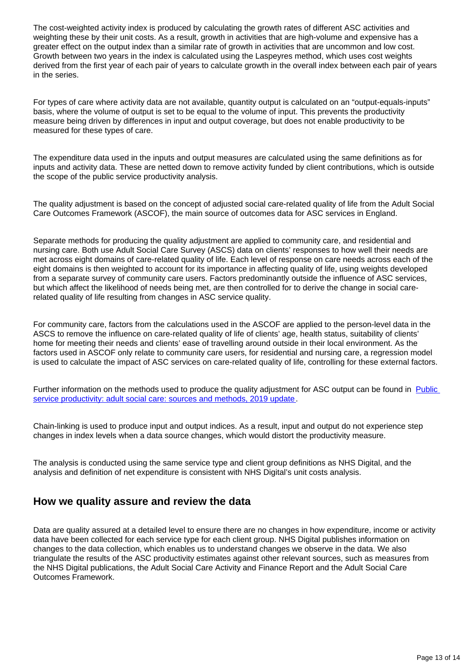The cost-weighted activity index is produced by calculating the growth rates of different ASC activities and weighting these by their unit costs. As a result, growth in activities that are high-volume and expensive has a greater effect on the output index than a similar rate of growth in activities that are uncommon and low cost. Growth between two years in the index is calculated using the Laspeyres method, which uses cost weights derived from the first year of each pair of years to calculate growth in the overall index between each pair of years in the series.

For types of care where activity data are not available, quantity output is calculated on an "output-equals-inputs" basis, where the volume of output is set to be equal to the volume of input. This prevents the productivity measure being driven by differences in input and output coverage, but does not enable productivity to be measured for these types of care.

The expenditure data used in the inputs and output measures are calculated using the same definitions as for inputs and activity data. These are netted down to remove activity funded by client contributions, which is outside the scope of the public service productivity analysis.

The quality adjustment is based on the concept of adjusted social care-related quality of life from the Adult Social Care Outcomes Framework (ASCOF), the main source of outcomes data for ASC services in England.

Separate methods for producing the quality adjustment are applied to community care, and residential and nursing care. Both use Adult Social Care Survey (ASCS) data on clients' responses to how well their needs are met across eight domains of care-related quality of life. Each level of response on care needs across each of the eight domains is then weighted to account for its importance in affecting quality of life, using weights developed from a separate survey of community care users. Factors predominantly outside the influence of ASC services, but which affect the likelihood of needs being met, are then controlled for to derive the change in social carerelated quality of life resulting from changes in ASC service quality.

For community care, factors from the calculations used in the ASCOF are applied to the person-level data in the ASCS to remove the influence on care-related quality of life of clients' age, health status, suitability of clients' home for meeting their needs and clients' ease of travelling around outside in their local environment. As the factors used in ASCOF only relate to community care users, for residential and nursing care, a regression model is used to calculate the impact of ASC services on care-related quality of life, controlling for these external factors.

Further information on the methods used to produce the quality adjustment for ASC output can be found in Public [service productivity: adult social care: sources and methods, 2019 update.](https://www.ons.gov.uk/economy/economicoutputandproductivity/publicservicesproductivity/methodologies/publicserviceproductivityadultsocialcaresourcesandmethods2019update)

Chain-linking is used to produce input and output indices. As a result, input and output do not experience step changes in index levels when a data source changes, which would distort the productivity measure.

The analysis is conducted using the same service type and client group definitions as NHS Digital, and the analysis and definition of net expenditure is consistent with NHS Digital's unit costs analysis.

#### **How we quality assure and review the data**

Data are quality assured at a detailed level to ensure there are no changes in how expenditure, income or activity data have been collected for each service type for each client group. NHS Digital publishes information on changes to the data collection, which enables us to understand changes we observe in the data. We also triangulate the results of the ASC productivity estimates against other relevant sources, such as measures from the NHS Digital publications, the Adult Social Care Activity and Finance Report and the Adult Social Care Outcomes Framework.